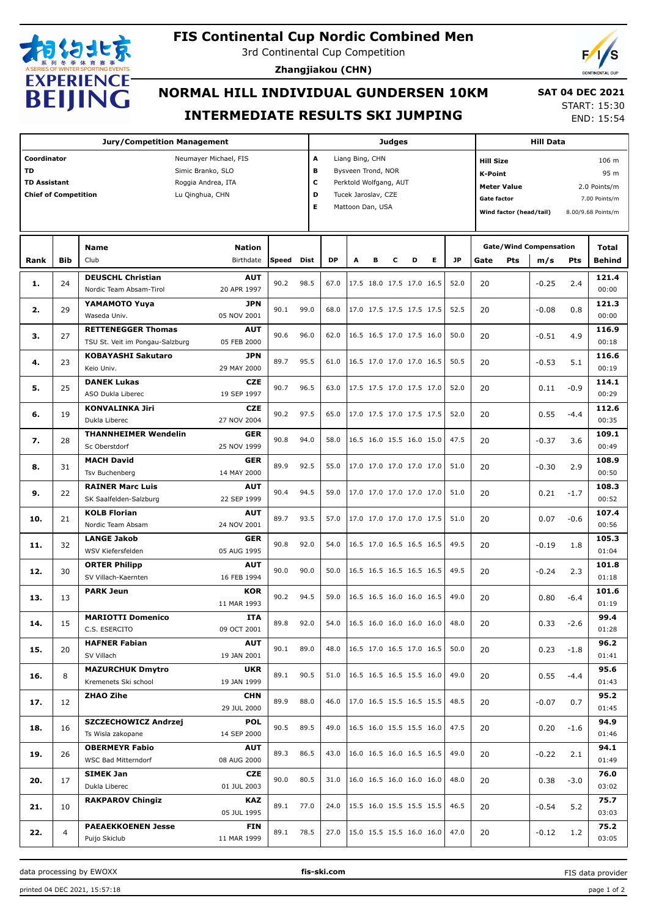

# **FIS Continental Cup Nordic Combined Men**

3rd Continental Cup Competition

**Zhangjiakou (CHN)**



## **NORMAL HILL INDIVIDUAL GUNDERSEN 10KM INTERMEDIATE RESULTS SKI JUMPING**

 **SAT 04 DEC 2021** START: 15:30

END: 15:54

| <b>Jury/Competition Management</b>             |            |                                 |             |           |      |                             | <b>Judges</b>            |   |                          |                          |                            |                               | <b>Hill Data</b>                         |         |         |        |                                                                                                                                                                                                                      |
|------------------------------------------------|------------|---------------------------------|-------------|-----------|------|-----------------------------|--------------------------|---|--------------------------|--------------------------|----------------------------|-------------------------------|------------------------------------------|---------|---------|--------|----------------------------------------------------------------------------------------------------------------------------------------------------------------------------------------------------------------------|
| Coordinator<br>Neumayer Michael, FIS           |            |                                 |             |           |      | A<br>Liang Bing, CHN        |                          |   |                          |                          |                            |                               | 106 m<br><b>Hill Size</b>                |         |         |        |                                                                                                                                                                                                                      |
| <b>TD</b><br>Simic Branko, SLO                 |            |                                 |             |           |      | B<br>Bysveen Trond, NOR     |                          |   |                          |                          |                            | <b>K-Point</b>                |                                          |         |         |        |                                                                                                                                                                                                                      |
| <b>TD Assistant</b><br>Roggia Andrea, ITA      |            |                                 |             |           |      | c<br>Perktold Wolfgang, AUT |                          |   |                          |                          |                            |                               |                                          |         |         |        |                                                                                                                                                                                                                      |
| <b>Chief of Competition</b><br>Lu Qinghua, CHN |            |                                 |             |           |      | D                           | Tucek Jaroslav, CZE      |   |                          |                          |                            |                               | <b>Meter Value</b><br><b>Gate factor</b> |         |         |        |                                                                                                                                                                                                                      |
|                                                |            |                                 |             |           |      |                             | Mattoon Dan, USA         |   |                          |                          |                            |                               |                                          |         |         |        |                                                                                                                                                                                                                      |
|                                                |            |                                 |             |           |      |                             |                          |   |                          |                          |                            | Wind factor (head/tail)       |                                          |         |         |        |                                                                                                                                                                                                                      |
|                                                |            |                                 |             |           |      |                             |                          |   |                          |                          |                            |                               |                                          |         |         |        |                                                                                                                                                                                                                      |
|                                                |            | <b>Name</b>                     |             |           |      |                             |                          |   |                          |                          |                            | <b>Gate/Wind Compensation</b> |                                          |         | Total   |        |                                                                                                                                                                                                                      |
| Rank                                           | <b>Bib</b> | Club                            | Birthdate   | Speed     | Dist | <b>DP</b>                   | A                        | в | с                        | D                        | E.                         | <b>JP</b>                     | Gate                                     | Pts     | m/s     | Pts    | <b>Behind</b>                                                                                                                                                                                                        |
|                                                |            | <b>DEUSCHL Christian</b>        | <b>AUT</b>  |           |      |                             |                          |   |                          |                          |                            |                               |                                          |         |         |        | 121.4                                                                                                                                                                                                                |
| 1.                                             | 24         | Nordic Team Absam-Tirol         | 20 APR 1997 | 90.2      | 98.5 | 67.0                        |                          |   |                          | 17.5 18.0 17.5 17.0 16.5 |                            | 52.0                          | 20                                       |         | $-0.25$ | 2.4    | 00:00                                                                                                                                                                                                                |
|                                                |            | YAMAMOTO Yuya                   | <b>JPN</b>  |           |      |                             |                          |   |                          |                          |                            |                               |                                          |         |         |        | 121.3                                                                                                                                                                                                                |
| 2.                                             | 29         | Waseda Univ.                    | 05 NOV 2001 | 90.1      | 99.0 | 68.0                        |                          |   | 17.0 17.5 17.5 17.5 17.5 |                          |                            | 52.5                          | 20                                       |         | $-0.08$ | 0.8    | 00:00                                                                                                                                                                                                                |
|                                                |            | <b>RETTENEGGER Thomas</b>       | <b>AUT</b>  |           |      |                             |                          |   |                          |                          |                            |                               |                                          |         |         |        | 116.9                                                                                                                                                                                                                |
| з.                                             | 27         | TSU St. Veit im Pongau-Salzburg | 05 FEB 2000 | 90.6      | 96.0 | 62.0                        |                          |   | 16.5 16.5 17.0 17.5 16.0 |                          |                            | 50.0                          | 20                                       |         | $-0.51$ | 4.9    | 00:18                                                                                                                                                                                                                |
|                                                |            | <b>KOBAYASHI Sakutaro</b>       | <b>JPN</b>  |           |      |                             |                          |   | 16.5 17.0 17.0 17.0 16.5 |                          |                            |                               |                                          |         | $-0.53$ | 5.1    | 116.6                                                                                                                                                                                                                |
| 4.                                             | 23         | Keio Univ.                      | 29 MAY 2000 | 89.7      | 95.5 | 61.0                        |                          |   |                          |                          |                            | 50.5                          | 20                                       |         |         |        | 00:19                                                                                                                                                                                                                |
|                                                |            | <b>DANEK Lukas</b>              | <b>CZE</b>  |           |      |                             |                          |   |                          |                          |                            |                               |                                          |         |         |        | 114.1                                                                                                                                                                                                                |
| 5.                                             | 25         | ASO Dukla Liberec               | 19 SEP 1997 | 90.7      | 96.5 | 63.0                        | 17.5 17.5 17.0 17.5 17.0 |   |                          |                          |                            | 52.0                          | 20                                       |         | 0.11    | $-0.9$ | 00:29                                                                                                                                                                                                                |
|                                                |            | <b>KONVALINKA Jiri</b>          | <b>CZE</b>  |           |      |                             |                          |   | 17.0 17.5 17.0 17.5 17.5 |                          |                            |                               |                                          | 112.6   |         |        |                                                                                                                                                                                                                      |
| 6.                                             | 19         | Dukla Liberec                   | 27 NOV 2004 | 90.2      | 97.5 | 65.0                        |                          |   |                          |                          |                            | 52.0                          | 20                                       |         | 0.55    | $-4.4$ | 00:35                                                                                                                                                                                                                |
|                                                |            | <b>THANNHEIMER Wendelin</b>     | <b>GER</b>  |           |      |                             |                          |   |                          |                          |                            |                               |                                          |         |         |        | 109.1                                                                                                                                                                                                                |
| 7.                                             | 28         | Sc Oberstdorf                   | 25 NOV 1999 | 90.8      | 94.0 | 58.0                        |                          |   | 16.5 16.0 15.5 16.0 15.0 |                          |                            | 47.5                          | 20                                       |         | $-0.37$ | 3.6    | 00:49                                                                                                                                                                                                                |
|                                                |            | <b>MACH David</b>               | <b>GER</b>  |           |      |                             |                          |   |                          |                          |                            |                               |                                          |         |         |        | 108.9                                                                                                                                                                                                                |
| 8.                                             | 31         | Tsv Buchenberg                  | 14 MAY 2000 | 89.9      | 92.5 | 55.0                        |                          |   | 17.0 17.0 17.0 17.0 17.0 |                          |                            | 51.0                          | 20                                       |         | $-0.30$ | 2.9    | 00:50                                                                                                                                                                                                                |
| 9.                                             |            | <b>RAINER Marc Luis</b>         | <b>AUT</b>  |           |      |                             |                          |   |                          |                          |                            |                               |                                          |         |         |        | 108.3                                                                                                                                                                                                                |
|                                                | 22         | SK Saalfelden-Salzburg          | 22 SEP 1999 | 90.4      | 94.5 | 59.0                        |                          |   | 17.0 17.0 17.0 17.0 17.0 |                          |                            | 51.0                          | 20                                       |         | 0.21    | $-1.7$ | 00:52                                                                                                                                                                                                                |
|                                                |            | <b>KOLB Florian</b>             | <b>AUT</b>  |           |      |                             |                          |   |                          |                          |                            |                               |                                          |         |         |        | 107.4                                                                                                                                                                                                                |
| 10.                                            | 21         | Nordic Team Absam               | 24 NOV 2001 | 89.7      | 93.5 | 57.0                        |                          |   | 17.0 17.0 17.0 17.0 17.5 |                          |                            | 51.0                          | 20                                       |         | 0.07    | $-0.6$ | 00:56                                                                                                                                                                                                                |
|                                                |            | <b>LANGE Jakob</b>              | <b>GER</b>  |           |      |                             |                          |   |                          |                          |                            |                               |                                          |         |         |        | 105.3                                                                                                                                                                                                                |
| 11.                                            | 32         | WSV Kiefersfelden               | 05 AUG 1995 | 90.8      | 92.0 | 54.0                        |                          |   | 16.5 17.0 16.5 16.5 16.5 |                          |                            | 49.5                          | 20                                       |         | $-0.19$ | 1.8    | 01:04                                                                                                                                                                                                                |
|                                                |            | <b>ORTER Philipp</b>            | <b>AUT</b>  |           |      |                             |                          |   |                          |                          |                            |                               |                                          |         |         |        | 101.8                                                                                                                                                                                                                |
| 12.                                            | 30         | SV Villach-Kaernten             | 16 FEB 1994 | 90.0      | 90.0 | 50.0                        |                          |   | 16.5 16.5 16.5 16.5 16.5 |                          |                            | 49.5                          | 20                                       | $-0.24$ | 2.3     | 01:18  |                                                                                                                                                                                                                      |
|                                                |            | <b>PARK Jeun</b>                | <b>KOR</b>  |           |      |                             |                          |   |                          |                          |                            |                               |                                          |         |         |        | 101.6                                                                                                                                                                                                                |
| 13.                                            | 13         |                                 | 11 MAR 1993 | 90.2      | 94.5 | 59.0                        |                          |   |                          | 16.5 16.5 16.0 16.0 16.5 |                            | 49.0                          | 20                                       |         | 0.80    | $-6.4$ | 01:19                                                                                                                                                                                                                |
|                                                |            | <b>MARIOTTI Domenico</b>        | ITA         |           |      |                             |                          |   |                          |                          |                            |                               |                                          |         |         |        | 95 m<br>2.0 Points/m<br>7.00 Points/m<br>8.00/9.68 Points/m<br>99.4<br>01:28<br>96.2<br>01:41<br>95.6<br>01:43<br>95.2<br>01:45<br>94.9<br>01:46<br>94.1<br>01:49<br>76.0<br>03:02<br>75.7<br>03:03<br>75.2<br>03:05 |
| 14.                                            | 15         | C.S. ESERCITO                   | 09 OCT 2001 | 89.8 92.0 |      | 54.0                        |                          |   |                          |                          | 16.5 16.0 16.0 16.0 16.0   | 48.0                          | 20                                       |         | 0.33    | $-2.6$ |                                                                                                                                                                                                                      |
|                                                |            | <b>HAFNER Fabian</b>            | <b>AUT</b>  |           |      |                             |                          |   |                          |                          |                            |                               |                                          |         |         |        |                                                                                                                                                                                                                      |
| 15.                                            | 20         | SV Villach                      | 19 JAN 2001 | 90.1      | 89.0 | 48.0                        |                          |   |                          | 16.5 17.0 16.5 17.0 16.5 |                            | 50.0                          | 20                                       |         | 0.23    | $-1.8$ |                                                                                                                                                                                                                      |
|                                                |            | <b>MAZURCHUK Dmytro</b>         | <b>UKR</b>  |           |      |                             |                          |   |                          |                          |                            |                               |                                          |         |         |        |                                                                                                                                                                                                                      |
| 16.                                            | 8          | Kremenets Ski school            | 19 JAN 1999 | 89.1      | 90.5 | 51.0                        |                          |   | 16.5 16.5 16.5 15.5 16.0 |                          |                            | 49.0                          | 20                                       |         | 0.55    | $-4.4$ |                                                                                                                                                                                                                      |
|                                                |            | <b>ZHAO Zihe</b>                | <b>CHN</b>  |           |      |                             |                          |   |                          |                          |                            |                               |                                          |         |         |        |                                                                                                                                                                                                                      |
| 17.                                            | 12         |                                 | 29 JUL 2000 | 89.9      | 88.0 | 46.0                        | 17.0 16.5 15.5 16.5 15.5 |   |                          |                          | 48.5                       | 20                            |                                          | $-0.07$ | 0.7     |        |                                                                                                                                                                                                                      |
|                                                |            | <b>SZCZECHOWICZ Andrzej</b>     | <b>POL</b>  |           |      |                             |                          |   |                          |                          |                            |                               |                                          |         |         |        |                                                                                                                                                                                                                      |
| 18.                                            | 16         | Ts Wisla zakopane               | 14 SEP 2000 | 90.5      | 89.5 | 49.0                        |                          |   |                          |                          | 16.5 16.0 15.5 15.5 16.0   | 47.5                          | 20                                       |         | 0.20    | $-1.6$ |                                                                                                                                                                                                                      |
|                                                |            | <b>OBERMEYR Fabio</b>           | AUT         |           |      |                             |                          |   |                          |                          |                            |                               |                                          |         |         |        |                                                                                                                                                                                                                      |
| 19.                                            | 26         | WSC Bad Mitterndorf             | 08 AUG 2000 | 89.3      | 86.5 | 43.0                        |                          |   | 16.0 16.5 16.0 16.5 16.5 |                          |                            | 49.0                          | 20                                       |         | $-0.22$ | 2.1    |                                                                                                                                                                                                                      |
|                                                |            | SIMEK Jan                       | <b>CZE</b>  |           |      |                             |                          |   |                          |                          |                            |                               | 20                                       |         |         |        |                                                                                                                                                                                                                      |
| 20.                                            | 17         | Dukla Liberec                   | 01 JUL 2003 | 90.0      | 80.5 | 31.0                        |                          |   |                          | 16.0 16.5 16.0 16.0 16.0 |                            | 48.0                          |                                          |         | 0.38    | $-3.0$ |                                                                                                                                                                                                                      |
|                                                |            | <b>RAKPAROV Chingiz</b>         | KAZ         |           |      |                             |                          |   |                          |                          |                            |                               |                                          |         |         |        |                                                                                                                                                                                                                      |
| 21.                                            | 10         |                                 | 05 JUL 1995 | 89.1      | 77.0 | 24.0                        |                          |   |                          |                          | 15.5 16.0 15.5 15.5 15.5   | 46.5                          | 20                                       |         | $-0.54$ | 5.2    |                                                                                                                                                                                                                      |
|                                                |            | <b>PAEAEKKOENEN Jesse</b>       | <b>FIN</b>  |           |      |                             |                          |   |                          |                          |                            |                               |                                          |         |         |        |                                                                                                                                                                                                                      |
| 22.                                            | 4          | Puijo Skiclub                   | 11 MAR 1999 | 89.1      | 78.5 | 27.0                        |                          |   |                          |                          | $15.0$ 15.5 15.5 16.0 16.0 | 47.0                          | 20                                       |         | $-0.12$ | 1.2    |                                                                                                                                                                                                                      |

data processing by EWOXX **fis-ski.com**

FIS data provider